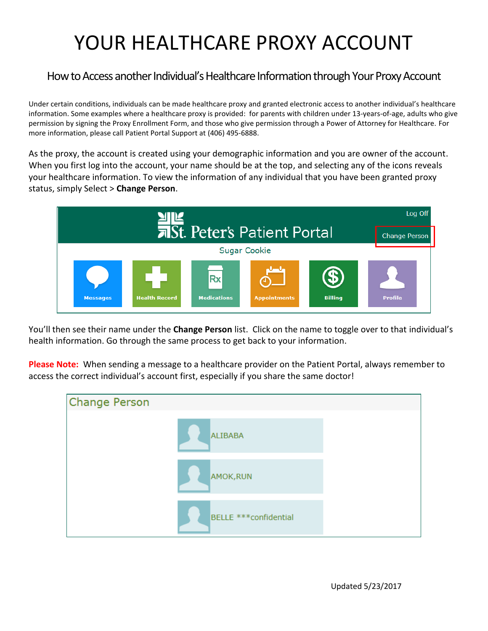## YOUR HEALTHCARE PROXY ACCOUNT

## How to Access another Individual's Healthcare Information through Your Proxy Account

Under certain conditions, individuals can be made healthcare proxy and granted electronic access to another individual's healthcare information. Some examples where a healthcare proxy is provided: for parents with children under 13-years-of-age, adults who give permission by signing the Proxy Enrollment Form, and those who give permission through a Power of Attorney for Healthcare. For more information, please call Patient Portal Support at (406) 495-6888.

As the proxy, the account is created using your demographic information and you are owner of the account. When you first log into the account, your name should be at the top, and selecting any of the icons reveals your healthcare information. To view the information of any individual that you have been granted proxy status, simply Select > **Change Person**.



You'll then see their name under the **Change Person** list. Click on the name to toggle over to that individual's health information. Go through the same process to get back to your information.

**Please Note:** When sending a message to a healthcare provider on the Patient Portal, always remember to access the correct individual's account first, especially if you share the same doctor!

| <b>Change Person</b> |                        |  |
|----------------------|------------------------|--|
|                      | <b>ALIBABA</b>         |  |
|                      | AMOK, RUN              |  |
|                      | BELLE *** confidential |  |